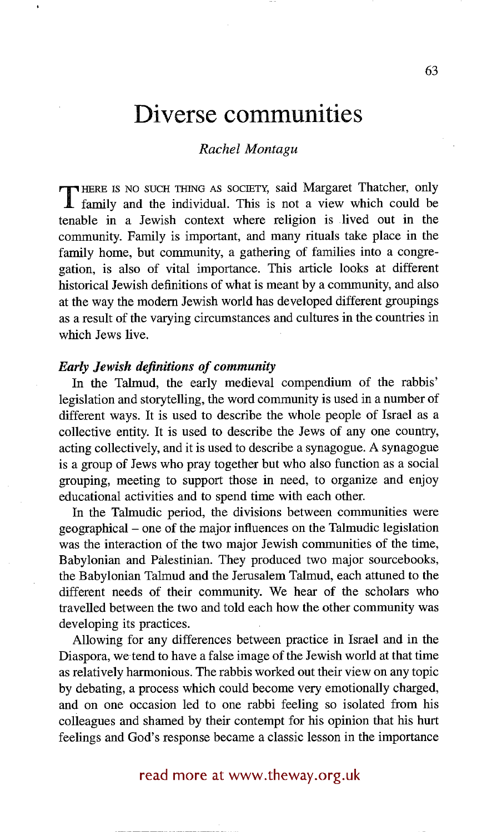# **Diverse communities**

#### *Rachel Montagu*

**T** HERE IS NO SUCH THING AS SOCIETY, said Margaret Thatcher, only family and the individual. This is not a view which could be tenable in a Jewish context where religion is lived out in the community. Family is important, and many rituals take place in the family home, but community, a gathering of families into a congregation, is also of vital importance. This article looks at different historical Jewish definitions of what is meant by a community, and also at the way the modem Jewish world has developed different groupings as a result of the varying circumstances and cultures in the countries in which Jews five.

#### *Early Jewish definitions of community*

In the Talmud, the early medieval compendium of the rabbis' legislation and storytelling, the word community is used in a number of different ways. It is used to describe the whole people of Israel as a collective entity. It is used to describe the Jews of any one country, acting collectively, and it is used to describe a synagogue. A synagogue is a group of Jews who pray together but who also function as a social grouping, meeting to support those in need, to organize and enjoy educational activities and to spend time with each other.

In the Talmudic period, the divisions between communities were geographical - one of the major influences on the Talmudic legislation was the interaction of the two major Jewish communities of the time, Babylonian and Palestinian. They produced two major sourcebooks, the Babylonian Talmud and the Jerusalem Talmud, each attuned to the different needs of their community. We hear of the scholars who travelled between the two and told each how the other community was developing its practices.

Allowing for any differences between practice in Israel and in the Diaspora, wetend to have a false image of the Jewish world at that time as relatively harmonious. The rabbis worked out their view on any topic by debating, a process which could become very emotionally charged, and on one occasion led to one rabbi feeling so isolated from his colleagues and shamed by their contempt for his opinion that his hurt feelings and God's response became a classic lesson in the importance

## read more at www.theway.org.uk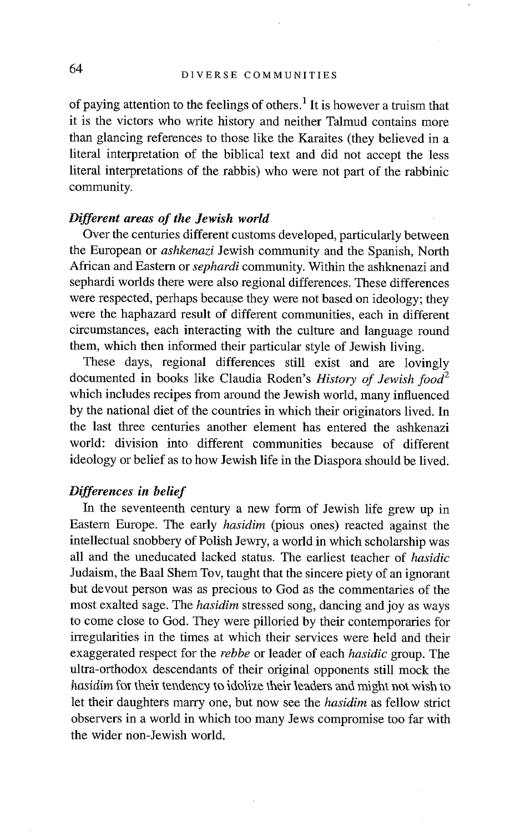of paying attention to the feelings of others.<sup>1</sup> It is however a truism that it is the victors who write history and neither Talmud contains more than glancing references to those like the Karaites (they believed in a literal interpretation of the biblical text and did not accept the less literal interpretations of the rabbis) who were not part of the rabbinic community.

### *Different areas of the Jewish world*

Over the centuries different customs developed, particularly between the European or *ashkenazi* Jewish community and the Spanish, North African and Eastern or *sephardi* community. Within the ashknenazi and sephardi worlds there were also regional differences. These differences were respected, perhaps because they were not based on ideology; they were the haphazard result of different communities, each in different circumstances, each interacting with the culture and language round them, which then informed their particular style of Jewish living.

These days, regional differences still exist and are lovingly documented in books like Claudia Roden's *History of Jewish food*<sup>2</sup> which includes recipes from around the Jewish world, many influenced by the national diet of the countries in which their originators lived. In the last three centuries another element has entered the ashkenazi world: division into different communities because of different ideology or belief as to how Jewish life in the Diaspora should be lived.

#### *Differences in belief*

In the seventeenth century a new form of Jewish life grew up in Eastern Europe. The early *hasidim* (pious ones) reacted against the intellectual snobbery of Polish Jewry, a world in which scholarship was all and the uneducated lacked status. The earliest teacher of *hasidic*  Judaism, the Baal Shem Tov, taught that the sincere piety of an ignorant but devout person was as precious to God as the commentaries of the most exalted sage. The *hasidim* stressed song, dancing and joy as ways to come close to God. They were pilloried by their contemporaries for irregularities in the times at which their services were held and their exaggerated respect for the *rebbe* or leader of each *hasidic* group. The ultra-orthodox descendants of their original opponents still mock the *hasidim* for their tendency to idolize their leaders and might not wish to let their daughters marry one, but now see the *hasidim* as fellow strict observers in a world in which too many Jews compromise too far with the wider non-Jewish world.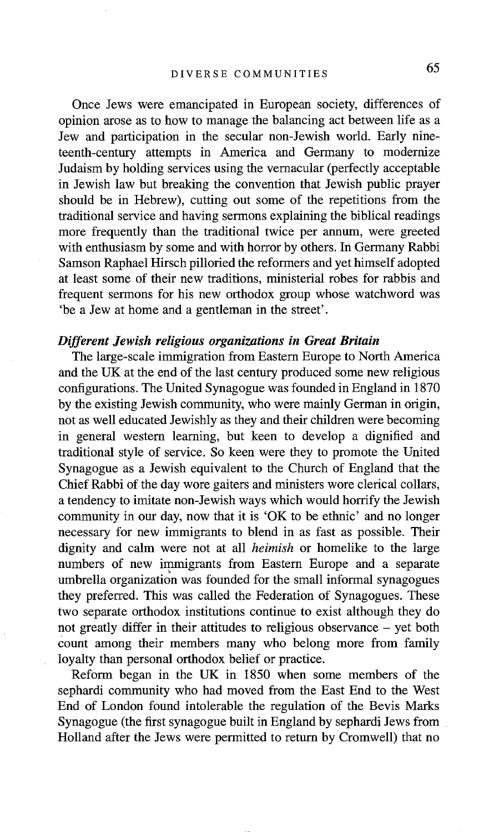Once Jews were emancipated in European society, differences of opinion arose as to how to manage the balancing act between life as a Jew and participation in the secular non-Jewish world. Early nineteenth-century attempts in America and Germany to modernize Judaism by holding services using the vernacular (perfectly acceptable in Jewish law but breaking the convention that Jewish public prayer should be in Hebrew), cutting out some of the repetitions from the traditional service and having sermons explaining the biblical readings more frequently than the traditional twice per annum, were greeted with enthusiasm by some and with horror by others. In Germany Rabbi Samson Raphael Hirsch pilloried the reformers and yet himself adopted at least some of their new traditions, ministerial robes for rabbis and frequent sermons for his new orthodox group whose watchword was 'be a Jew at home and a gentleman in the street'.

#### *Different Jewish religious organizations in Great Britain*

The large-scale immigration from Eastern Europe to North America and the UK at the end of the last century produced some new religious configurations. The United Synagogue was founded in England in 1870 by the existing Jewish community, who were mainly German in origin, not as well educated Jewishly as they and their children were becoming in general western learning, but keen to develop a dignified and traditional style of service. So keen were they to promote the United Synagogue as a Jewish equivalent to the Church of England that the Chief Rabbi of the day wore gaiters and ministers wore clerical collars, a tendency to imitate non-Jewish ways which would horrify the Jewish community in our day, now that it is 'OK to be ethnic' and no longer necessary for new immigrants to blend in as fast as possible. Their dignity and calm were not at all *heimish* or homelike to the large numbers of new immigrants from Eastern Europe and a separate umbrella organization was founded for the small informal synagogues they preferred. This was called the Federation of Synagogues. These two separate orthodox institutions continue to exist although they do not greatly differ in their attitudes to religious observance - yet both count among their members many who belong more from family loyalty than personal orthodox belief or practice.

Reform began in the UK in 1850 when some members of the sephardi community who had moved from the East End to the West End of London found intolerable the regulation of the Bevis Marks Synagogue (the first synagogue built in England by sephardi Jews from Holland after the Jews were permitted to return by Cromwell) that no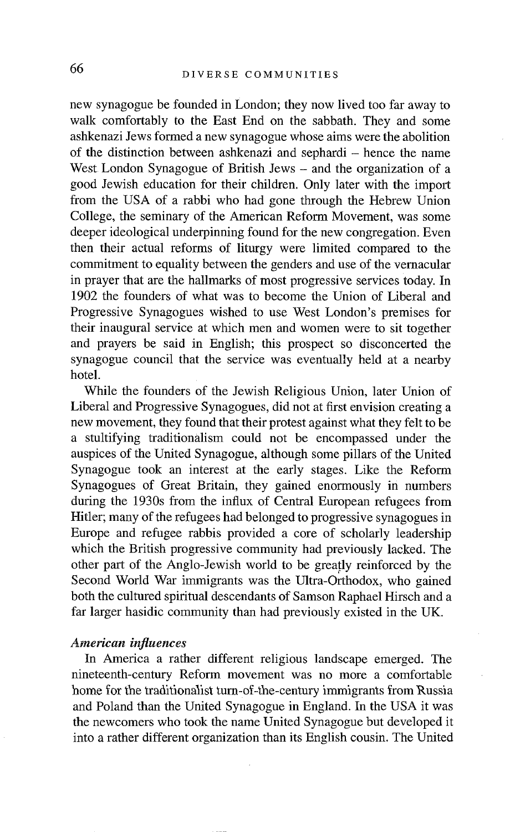new synagogue be founded in London; they now lived too far away to walk comfortably to the East End on the sabbath. They and some ashkenazi Jews formed a new synagogue whose aims were the abolition of the distinction between ashkenazi and sephardi – hence the name West London Synagogue of British Jews – and the organization of a good Jewish education for their children. Only later with the import from the USA of a rabbi who had gone through the Hebrew Union College, the seminary of the American Reform Movement, was some deeper ideological underpinning found for the new congregation. Even then their actual reforms of liturgy were limited compared to the commitment to equality between the genders and use of the vernacular in prayer that are the hallmarks of most progressive services today. In 1902 the founders of what was to become the Union of Liberal and Progressive Synagogues wished to use West London's premises for their inaugural service at which men and women were to sit together and prayers be said in English; this prospect so disconcerted the synagogue council that the service was eventually held at a nearby hotel.

While the founders of the Jewish Religious Union, later Union of Liberal and Progressive Synagogues, did not at first envision creating a new movement, they found that their protest against what they felt to be a stultifying traditionalism could not be encompassed under the auspices of the United Synagogue, although some pillars of the United Synagogue took an interest at the early stages. Like the Reform Synagogues of Great Britain, they gained enormously in numbers during the 1930s from the influx of Central European refugees from Hitler; many of the refugees had belonged to progressive synagogues in Europe and refugee rabbis provided a core of scholarly leadership which the British progressive community had previously lacked. The other part of the Anglo-Jewish world to be greatly reinforced by the Second World War immigrants was the Ultra-Orthodox, who gained both the cultured spiritual descendants of Samson Raphael Hirsch and a far larger hasidic community than had previously existed in the UK.

#### *American influences*

In America a rather different religious landscape emerged. The nineteenth-century Reform movement was no more a comfortable home for the traditionalist turn-of-the-century immigrants from Russia and Poland than the United Synagogue in England. In the USA it was the newcomers who took the name United Synagogue but developed it into a rather different organization than its English cousin. The United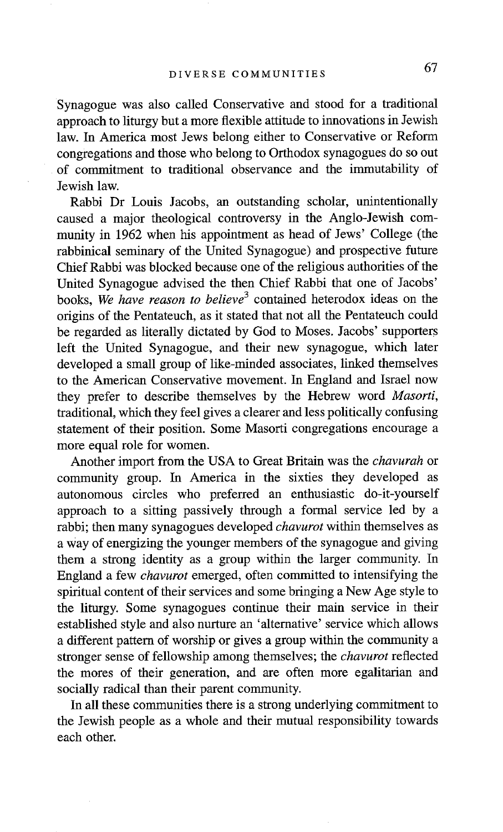Synagogue was also called Conservative and stood for a traditional approach to liturgy but a more flexible attitude to innovations in Jewish law. In America most Jews belong either to Conservative or Reform congregations and those who belong to Orthodox synagogues do so out of commitment to traditional observance and the immutability of Jewish law.

Rabbi Dr Louis Jacobs, an outstanding scholar, unintentionally caused a major theological controversy in the Anglo-Jewish community in 1962 when his appointment as head of Jews' College (the rabbinical seminary of the United Synagogue) and prospective future Chief Rabbi was blocked because one of the religious authorities of the United Synagogue advised the then Chief Rabbi that one of Jacobs' books, *We have reason to believe 3* contained heterodox ideas on the origins of the Pentateuch, as it stated that not all the Pentateuch could be regarded as literally dictated by God to Moses. Jacobs' supporters left the United Synagogue, and their new synagogue, which later developed a small group of like-minded associates, linked themselves to the American Conservative movement. In England and Israel now they prefer to describe themselves by the Hebrew word *Masorti,*  traditional, which they feel gives a clearer and less politically confusing statement of their position. Some Masorti congregations encourage a more equal role for women.

Another import from the USA to Great Britain was the *chavurah* or community group. In America in the sixties they developed as autonomous circles who preferred an enthusiastic do-it-yourself approach to a sitting passively through a formal service led by a rabbi; then many synagogues developed *chavurot* within themselves as a way of energizing the younger members of the synagogue and giving them a strong identity as a group within the larger community. In England a few *chavurot* emerged, often committed to intensifying the spiritual content of their services and some bringing a New Age style to the liturgy. Some synagogues continue their main service in their established style and also nurture an 'alternative' service which allows a different pattern of worship or gives a group within the community a stronger sense of fellowship among themselves; the *chavurot* reflected the mores of their generation, and are often more egalitarian and socially radical than their parent community.

In all these communities there is a strong underlying commitment to the Jewish people as a whole and their mutual responsibility towards each other.